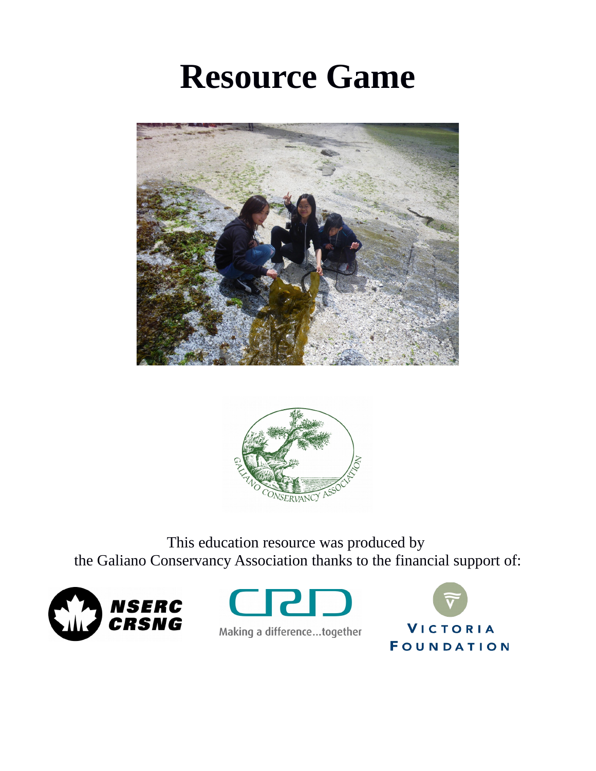# **Resource Game**





This education resource was produced by the Galiano Conservancy Association thanks to the financial support of:







Making a difference...together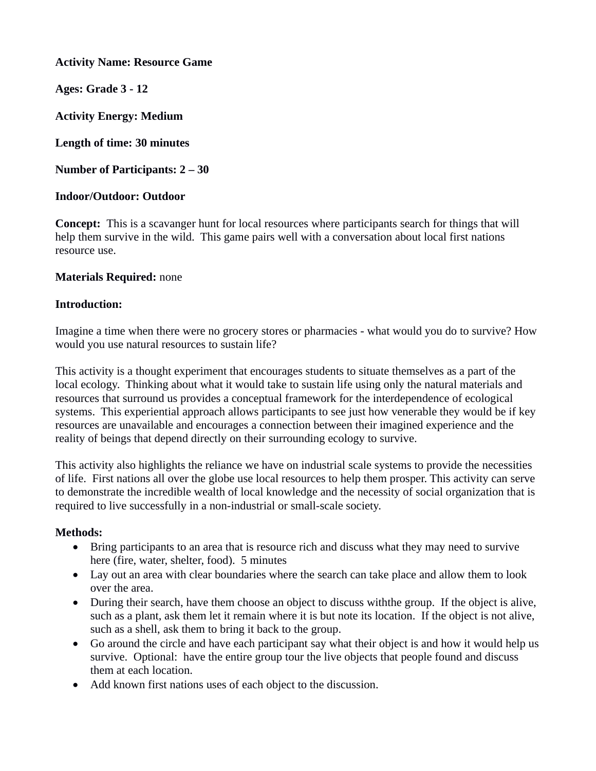**Activity Name: Resource Game**

**Ages: Grade 3 - 12**

**Activity Energy: Medium**

**Length of time: 30 minutes**

**Number of Participants: 2 – 30**

# **Indoor/Outdoor: Outdoor**

**Concept:** This is a scavanger hunt for local resources where participants search for things that will help them survive in the wild. This game pairs well with a conversation about local first nations resource use.

## **Materials Required:** none

## **Introduction:**

Imagine a time when there were no grocery stores or pharmacies - what would you do to survive? How would you use natural resources to sustain life?

This activity is a thought experiment that encourages students to situate themselves as a part of the local ecology. Thinking about what it would take to sustain life using only the natural materials and resources that surround us provides a conceptual framework for the interdependence of ecological systems. This experiential approach allows participants to see just how venerable they would be if key resources are unavailable and encourages a connection between their imagined experience and the reality of beings that depend directly on their surrounding ecology to survive.

This activity also highlights the reliance we have on industrial scale systems to provide the necessities of life. First nations all over the globe use local resources to help them prosper. This activity can serve to demonstrate the incredible wealth of local knowledge and the necessity of social organization that is required to live successfully in a non-industrial or small-scale society.

## **Methods:**

- Bring participants to an area that is resource rich and discuss what they may need to survive here (fire, water, shelter, food). 5 minutes
- Lay out an area with clear boundaries where the search can take place and allow them to look over the area.
- During their search, have them choose an object to discuss withthe group. If the object is alive, such as a plant, ask them let it remain where it is but note its location. If the object is not alive, such as a shell, ask them to bring it back to the group.
- Go around the circle and have each participant say what their object is and how it would help us survive. Optional: have the entire group tour the live objects that people found and discuss them at each location.
- Add known first nations uses of each object to the discussion.